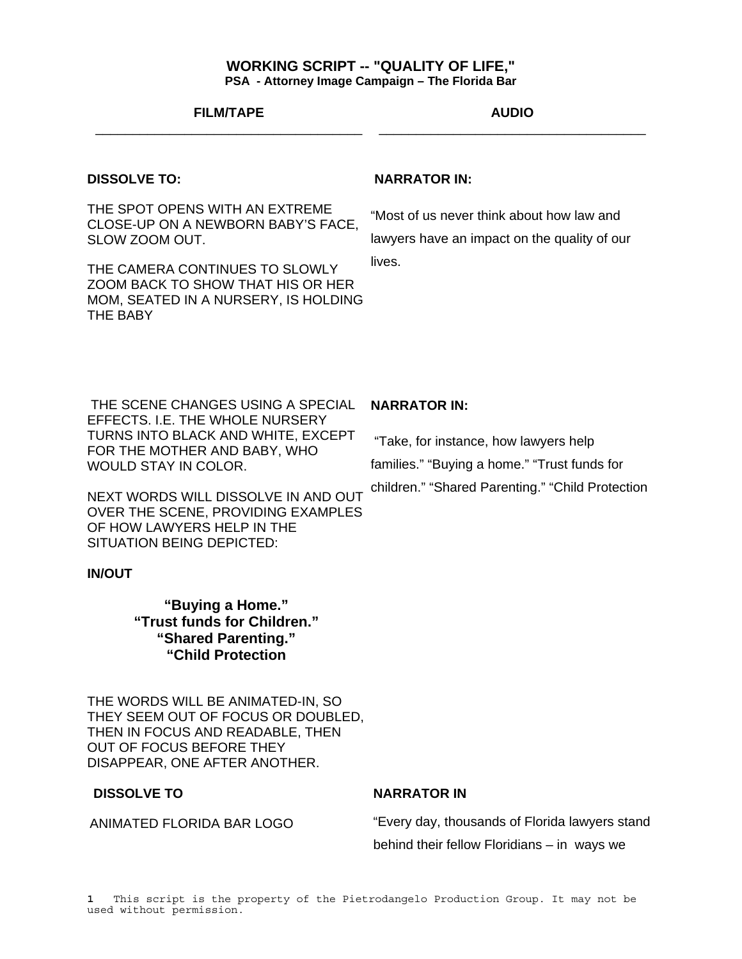### **WORKING SCRIPT -- "QUALITY OF LIFE," PSA - Attorney Image Campaign – The Florida Bar**

#### **FILM/TAPE**  \_\_\_\_\_\_\_\_\_\_\_\_\_\_\_\_\_\_\_\_\_\_\_\_\_\_\_\_\_\_\_\_\_\_\_\_

#### **AUDIO** \_\_\_\_\_\_\_\_\_\_\_\_\_\_\_\_\_\_\_\_\_\_\_\_\_\_\_\_\_\_\_\_\_\_\_\_

#### **DISSOLVE TO:**

THE SPOT OPENS WITH AN EXTREME CLOSE-UP ON A NEWBORN BABY'S FACE, SLOW ZOOM OUT.

THE CAMERA CONTINUES TO SLOWLY ZOOM BACK TO SHOW THAT HIS OR HER MOM, SEATED IN A NURSERY, IS HOLDING THE BABY

#### **NARRATOR IN:**

"Most of us never think about how law and lawyers have an impact on the quality of our lives.

 THE SCENE CHANGES USING A SPECIAL EFFECTS. I.E. THE WHOLE NURSERY TURNS INTO BLACK AND WHITE, EXCEPT FOR THE MOTHER AND BABY, WHO WOULD STAY IN COLOR.

NEXT WORDS WILL DISSOLVE IN AND OUT OVER THE SCENE, PROVIDING EXAMPLES OF HOW LAWYERS HELP IN THE SITUATION BEING DEPICTED:

#### **IN/OUT**

**"Buying a Home." "Trust funds for Children." "Shared Parenting." "Child Protection** 

THE WORDS WILL BE ANIMATED-IN, SO THEY SEEM OUT OF FOCUS OR DOUBLED, THEN IN FOCUS AND READABLE, THEN OUT OF FOCUS BEFORE THEY DISAPPEAR, ONE AFTER ANOTHER.

#### **DISSOLVE TO**

ANIMATED FLORIDA BAR LOGO

#### **NARRATOR IN:**

 "Take, for instance, how lawyers help families." "Buying a home." "Trust funds for children." "Shared Parenting." "Child Protection

### **NARRATOR IN**

"Every day, thousands of Florida lawyers stand behind their fellow Floridians – in ways we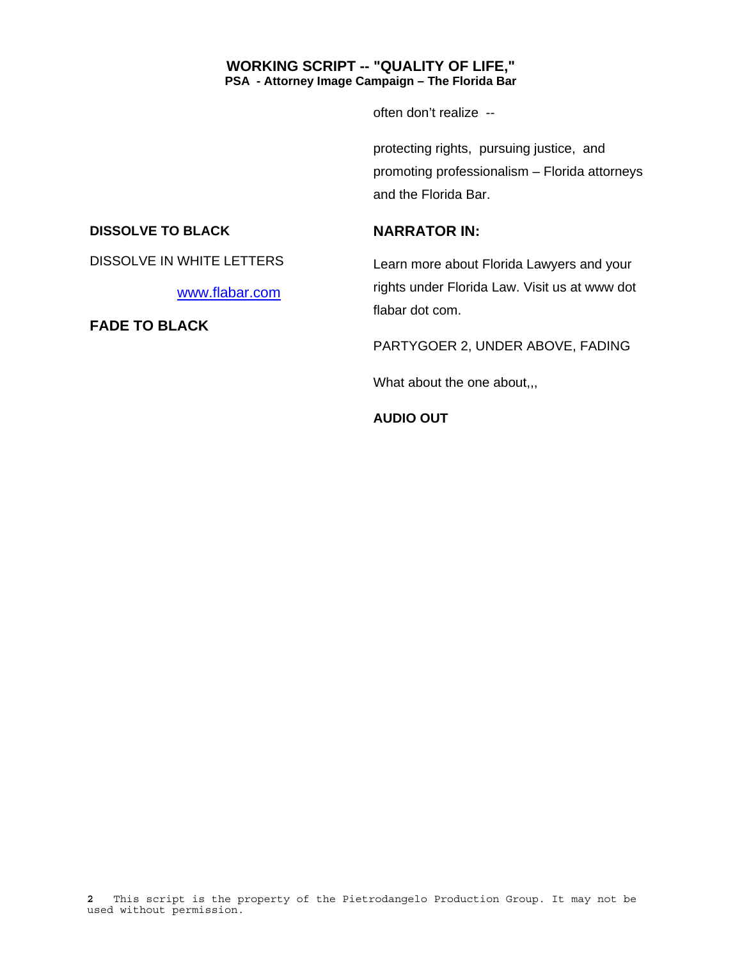# **WORKING SCRIPT -- "QUALITY OF LIFE," PSA - Attorney Image Campaign – The Florida Bar**

often don't realize --

protecting rights, pursuing justice, and promoting professionalism – Florida attorneys and the Florida Bar.

# **DISSOLVE TO BLACK**

# **NARRATOR IN:**

DISSOLVE IN WHITE LETTERS

www.flabar.com

**FADE TO BLACK** 

Learn more about Florida Lawyers and your rights under Florida Law. Visit us at www dot flabar dot com.

PARTYGOER 2, UNDER ABOVE, FADING

What about the one about,,,

**AUDIO OUT**